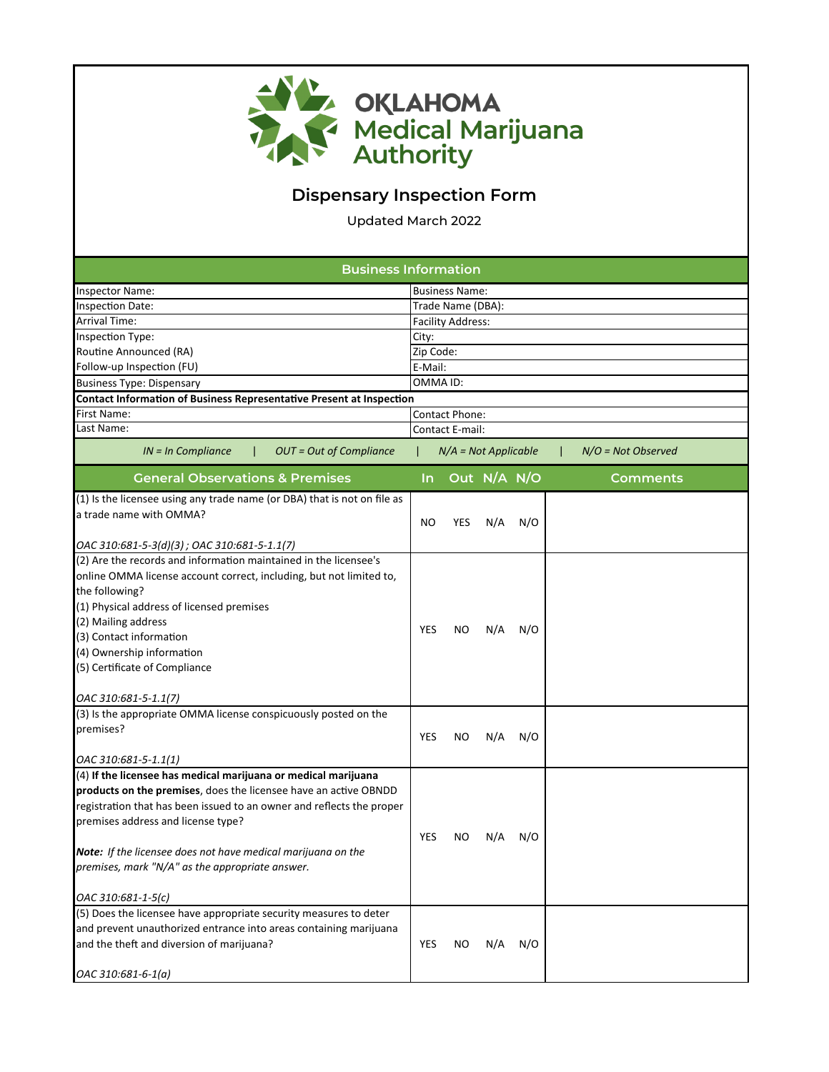

## **Dispensary Inspection Form**

Updated March 2022

| <b>Business Information</b>                                                 |                          |                        |             |     |  |                      |  |  |  |
|-----------------------------------------------------------------------------|--------------------------|------------------------|-------------|-----|--|----------------------|--|--|--|
| Inspector Name:                                                             |                          | <b>Business Name:</b>  |             |     |  |                      |  |  |  |
| <b>Inspection Date:</b>                                                     |                          | Trade Name (DBA):      |             |     |  |                      |  |  |  |
| <b>Arrival Time:</b>                                                        | <b>Facility Address:</b> |                        |             |     |  |                      |  |  |  |
| Inspection Type:                                                            | City:                    |                        |             |     |  |                      |  |  |  |
| Routine Announced (RA)                                                      | Zip Code:                |                        |             |     |  |                      |  |  |  |
| Follow-up Inspection (FU)                                                   | E-Mail:                  |                        |             |     |  |                      |  |  |  |
| <b>Business Type: Dispensary</b>                                            | OMMA ID:                 |                        |             |     |  |                      |  |  |  |
| <b>Contact Information of Business Representative Present at Inspection</b> |                          |                        |             |     |  |                      |  |  |  |
| First Name:                                                                 | Contact Phone:           |                        |             |     |  |                      |  |  |  |
| Last Name:                                                                  |                          | <b>Contact E-mail:</b> |             |     |  |                      |  |  |  |
| $IN = In$ Compliance<br><b>OUT = Out of Compliance</b>                      |                          | $N/A = Not Applicable$ |             |     |  | $N/O = Not Observed$ |  |  |  |
| <b>General Observations &amp; Premises</b>                                  | In.                      |                        | Out N/A N/O |     |  | Comments             |  |  |  |
| (1) Is the licensee using any trade name (or DBA) that is not on file as    |                          |                        |             |     |  |                      |  |  |  |
| a trade name with OMMA?                                                     | NO                       | YES                    | N/A         | N/O |  |                      |  |  |  |
|                                                                             |                          |                        |             |     |  |                      |  |  |  |
| OAC 310:681-5-3(d)(3); OAC 310:681-5-1.1(7)                                 |                          |                        |             |     |  |                      |  |  |  |
| (2) Are the records and information maintained in the licensee's            |                          |                        |             |     |  |                      |  |  |  |
| online OMMA license account correct, including, but not limited to,         |                          |                        |             |     |  |                      |  |  |  |
| the following?                                                              |                          |                        |             |     |  |                      |  |  |  |
| (1) Physical address of licensed premises                                   |                          |                        |             |     |  |                      |  |  |  |
| (2) Mailing address                                                         | <b>YES</b>               | NO.                    | N/A         | N/O |  |                      |  |  |  |
| (3) Contact information                                                     |                          |                        |             |     |  |                      |  |  |  |
| (4) Ownership information                                                   |                          |                        |             |     |  |                      |  |  |  |
| (5) Certificate of Compliance                                               |                          |                        |             |     |  |                      |  |  |  |
| OAC 310:681-5-1.1(7)                                                        |                          |                        |             |     |  |                      |  |  |  |
| (3) Is the appropriate OMMA license conspicuously posted on the             |                          |                        |             |     |  |                      |  |  |  |
| premises?                                                                   | <b>YES</b>               | NO.                    | N/A         | N/O |  |                      |  |  |  |
|                                                                             |                          |                        |             |     |  |                      |  |  |  |
| OAC 310:681-5-1.1(1)                                                        |                          |                        |             |     |  |                      |  |  |  |
| (4) If the licensee has medical marijuana or medical marijuana              |                          |                        |             |     |  |                      |  |  |  |
| products on the premises, does the licensee have an active OBNDD            |                          |                        |             |     |  |                      |  |  |  |
| registration that has been issued to an owner and reflects the proper       |                          |                        |             |     |  |                      |  |  |  |
| premises address and license type?                                          |                          |                        |             |     |  |                      |  |  |  |
|                                                                             | <b>YES</b>               | NO.                    | N/A         | N/O |  |                      |  |  |  |
| <b>Note:</b> If the licensee does not have medical marijuana on the         |                          |                        |             |     |  |                      |  |  |  |
| premises, mark "N/A" as the appropriate answer.                             |                          |                        |             |     |  |                      |  |  |  |
| OAC 310:681-1-5(c)                                                          |                          |                        |             |     |  |                      |  |  |  |
| (5) Does the licensee have appropriate security measures to deter           |                          |                        |             |     |  |                      |  |  |  |
| and prevent unauthorized entrance into areas containing marijuana           |                          |                        |             |     |  |                      |  |  |  |
| and the theft and diversion of marijuana?                                   | YES                      | NO.                    | N/A         | N/O |  |                      |  |  |  |
| OAC 310:681-6-1(a)                                                          |                          |                        |             |     |  |                      |  |  |  |
|                                                                             |                          |                        |             |     |  |                      |  |  |  |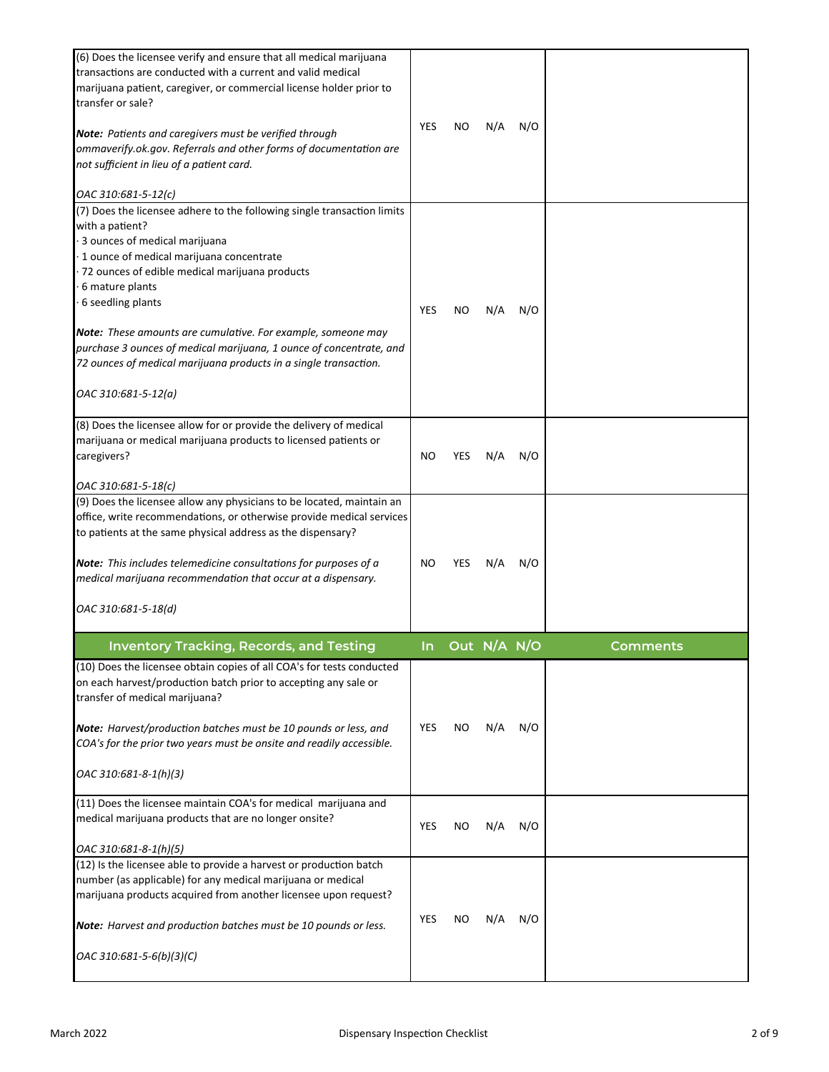| (6) Does the licensee verify and ensure that all medical marijuana<br>transactions are conducted with a current and valid medical<br>marijuana patient, caregiver, or commercial license holder prior to<br>transfer or sale?<br><b>Note:</b> Patients and caregivers must be verified through<br>ommaverify.ok.gov. Referrals and other forms of documentation are<br>not sufficient in lieu of a patient card.<br>OAC 310:681-5-12(c) | YES | ΝO         | N/A         | N/O |          |
|-----------------------------------------------------------------------------------------------------------------------------------------------------------------------------------------------------------------------------------------------------------------------------------------------------------------------------------------------------------------------------------------------------------------------------------------|-----|------------|-------------|-----|----------|
| (7) Does the licensee adhere to the following single transaction limits<br>with a patient?<br>3 ounces of medical marijuana<br>1 ounce of medical marijuana concentrate<br>72 ounces of edible medical marijuana products                                                                                                                                                                                                               |     |            |             |     |          |
| 6 mature plants<br>6 seedling plants                                                                                                                                                                                                                                                                                                                                                                                                    | YES | NO         | N/A         | N/O |          |
| Note: These amounts are cumulative. For example, someone may<br>purchase 3 ounces of medical marijuana, 1 ounce of concentrate, and<br>72 ounces of medical marijuana products in a single transaction.<br>OAC 310:681-5-12(a)                                                                                                                                                                                                          |     |            |             |     |          |
|                                                                                                                                                                                                                                                                                                                                                                                                                                         |     |            |             |     |          |
| (8) Does the licensee allow for or provide the delivery of medical<br>marijuana or medical marijuana products to licensed patients or<br>caregivers?                                                                                                                                                                                                                                                                                    | NO  | YES        | N/A         | N/O |          |
| OAC 310:681-5-18(c)                                                                                                                                                                                                                                                                                                                                                                                                                     |     |            |             |     |          |
| (9) Does the licensee allow any physicians to be located, maintain an<br>office, write recommendations, or otherwise provide medical services<br>to patients at the same physical address as the dispensary?<br>Note: This includes telemedicine consultations for purposes of a<br>medical marijuana recommendation that occur at a dispensary.<br>OAC 310:681-5-18(d)                                                                 | NO  | <b>YES</b> | N/A         | N/O |          |
|                                                                                                                                                                                                                                                                                                                                                                                                                                         |     |            |             |     |          |
| <b>Inventory Tracking, Records, and Testing</b>                                                                                                                                                                                                                                                                                                                                                                                         | In. |            | Out N/A N/O |     | Comments |
| (10) Does the licensee obtain copies of all COA's for tests conducted<br>on each harvest/production batch prior to accepting any sale or                                                                                                                                                                                                                                                                                                |     |            |             |     |          |
| transfer of medical marijuana?                                                                                                                                                                                                                                                                                                                                                                                                          |     |            |             |     |          |
| Note: Harvest/production batches must be 10 pounds or less, and<br>COA's for the prior two years must be onsite and readily accessible.                                                                                                                                                                                                                                                                                                 | YES | ΝO         | N/A         | N/O |          |
| OAC 310:681-8-1(h)(3)                                                                                                                                                                                                                                                                                                                                                                                                                   |     |            |             |     |          |
| (11) Does the licensee maintain COA's for medical marijuana and<br>medical marijuana products that are no longer onsite?                                                                                                                                                                                                                                                                                                                | YES | ΝO         | N/A         | N/O |          |
| OAC 310:681-8-1(h)(5)                                                                                                                                                                                                                                                                                                                                                                                                                   |     |            |             |     |          |
| (12) Is the licensee able to provide a harvest or production batch<br>number (as applicable) for any medical marijuana or medical<br>marijuana products acquired from another licensee upon request?                                                                                                                                                                                                                                    |     |            |             |     |          |
| <b>Note:</b> Harvest and production batches must be 10 pounds or less.                                                                                                                                                                                                                                                                                                                                                                  | YES | ΝO         | N/A         | N/O |          |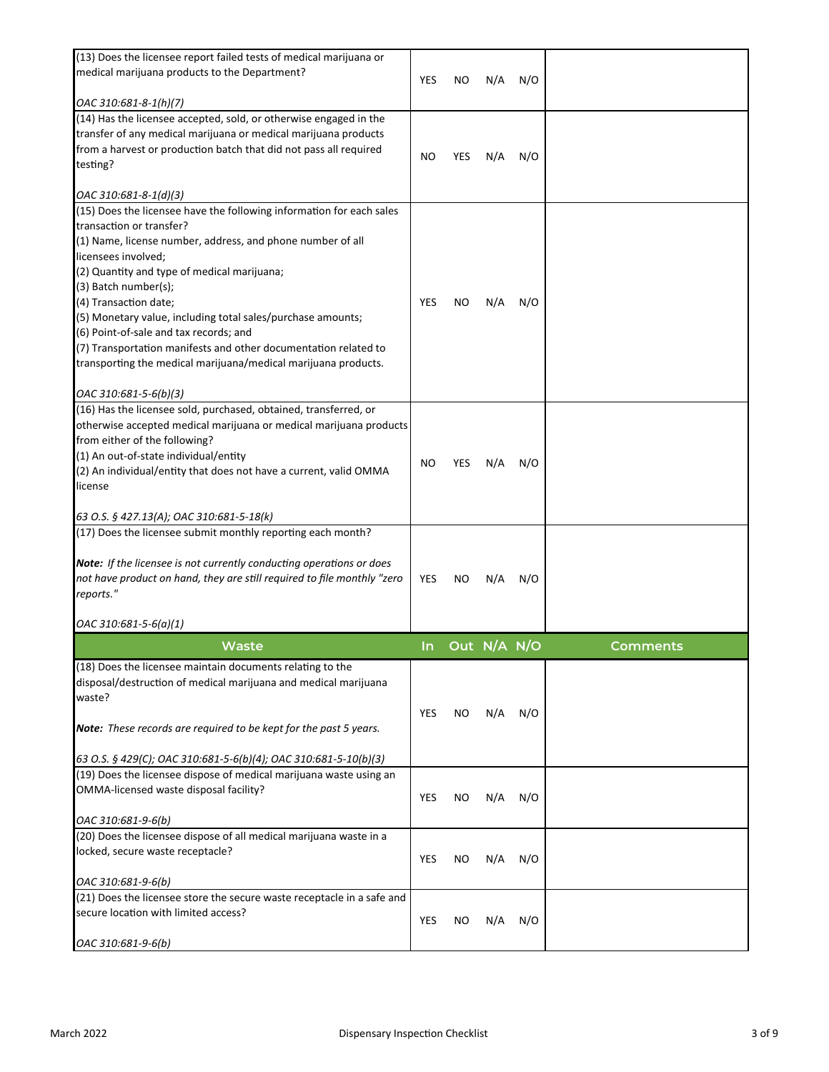| (13) Does the licensee report failed tests of medical marijuana or                   |            |     |             |     |          |
|--------------------------------------------------------------------------------------|------------|-----|-------------|-----|----------|
| medical marijuana products to the Department?                                        | YES        | ΝO  | N/A         | N/O |          |
| OAC 310:681-8-1(h)(7)                                                                |            |     |             |     |          |
| (14) Has the licensee accepted, sold, or otherwise engaged in the                    |            |     |             |     |          |
| transfer of any medical marijuana or medical marijuana products                      |            |     |             |     |          |
| from a harvest or production batch that did not pass all required                    | <b>NO</b>  | YES | N/A         | N/O |          |
| testing?                                                                             |            |     |             |     |          |
| OAC 310:681-8-1(d)(3)                                                                |            |     |             |     |          |
| (15) Does the licensee have the following information for each sales                 |            |     |             |     |          |
| transaction or transfer?                                                             |            |     |             |     |          |
| (1) Name, license number, address, and phone number of all                           |            |     |             |     |          |
| licensees involved;                                                                  |            |     |             |     |          |
| (2) Quantity and type of medical marijuana;                                          |            |     |             |     |          |
| (3) Batch number(s);                                                                 |            |     |             |     |          |
| (4) Transaction date;                                                                | <b>YES</b> | NO  | N/A         | N/O |          |
| (5) Monetary value, including total sales/purchase amounts;                          |            |     |             |     |          |
| (6) Point-of-sale and tax records; and                                               |            |     |             |     |          |
| (7) Transportation manifests and other documentation related to                      |            |     |             |     |          |
| transporting the medical marijuana/medical marijuana products.                       |            |     |             |     |          |
| OAC 310:681-5-6(b)(3)                                                                |            |     |             |     |          |
| (16) Has the licensee sold, purchased, obtained, transferred, or                     |            |     |             |     |          |
| otherwise accepted medical marijuana or medical marijuana products                   |            |     |             |     |          |
| from either of the following?                                                        |            |     |             |     |          |
| (1) An out-of-state individual/entity                                                | NO.        | YES | N/A         | N/O |          |
| (2) An individual/entity that does not have a current, valid OMMA                    |            |     |             |     |          |
| license                                                                              |            |     |             |     |          |
| 63 O.S. § 427.13(A); OAC 310:681-5-18(k)                                             |            |     |             |     |          |
| (17) Does the licensee submit monthly reporting each month?                          |            |     |             |     |          |
|                                                                                      |            |     |             |     |          |
| Note: If the licensee is not currently conducting operations or does                 |            |     |             |     |          |
| not have product on hand, they are still required to file monthly "zero<br>reports." | YES        | NO  | N/A         | N/O |          |
|                                                                                      |            |     |             |     |          |
| $OAC$ 310:681-5-6(a)(1)                                                              |            |     |             |     |          |
| Waste                                                                                | In         |     | Out N/A N/O |     | Comments |
| (18) Does the licensee maintain documents relating to the                            |            |     |             |     |          |
| disposal/destruction of medical marijuana and medical marijuana                      |            |     |             |     |          |
| waste?                                                                               |            |     |             |     |          |
|                                                                                      | YES        | ΝO  | N/A         | N/O |          |
| <b>Note:</b> These records are required to be kept for the past 5 years.             |            |     |             |     |          |
| 63 O.S. § 429(C); OAC 310:681-5-6(b)(4); OAC 310:681-5-10(b)(3)                      |            |     |             |     |          |
| (19) Does the licensee dispose of medical marijuana waste using an                   |            |     |             |     |          |
| OMMA-licensed waste disposal facility?                                               |            |     |             |     |          |
|                                                                                      | YES        | ΝO  | N/A         | N/O |          |
| OAC 310:681-9-6(b)                                                                   |            |     |             |     |          |
| (20) Does the licensee dispose of all medical marijuana waste in a                   |            |     |             |     |          |
| locked, secure waste receptacle?                                                     | YES        | ΝO  | N/A         | N/O |          |
| OAC 310:681-9-6(b)                                                                   |            |     |             |     |          |
| (21) Does the licensee store the secure waste receptacle in a safe and               |            |     |             |     |          |
| secure location with limited access?                                                 |            |     |             |     |          |
|                                                                                      |            |     |             |     |          |
|                                                                                      | YES        | ΝO  | N/A         | N/O |          |
| OAC 310:681-9-6(b)                                                                   |            |     |             |     |          |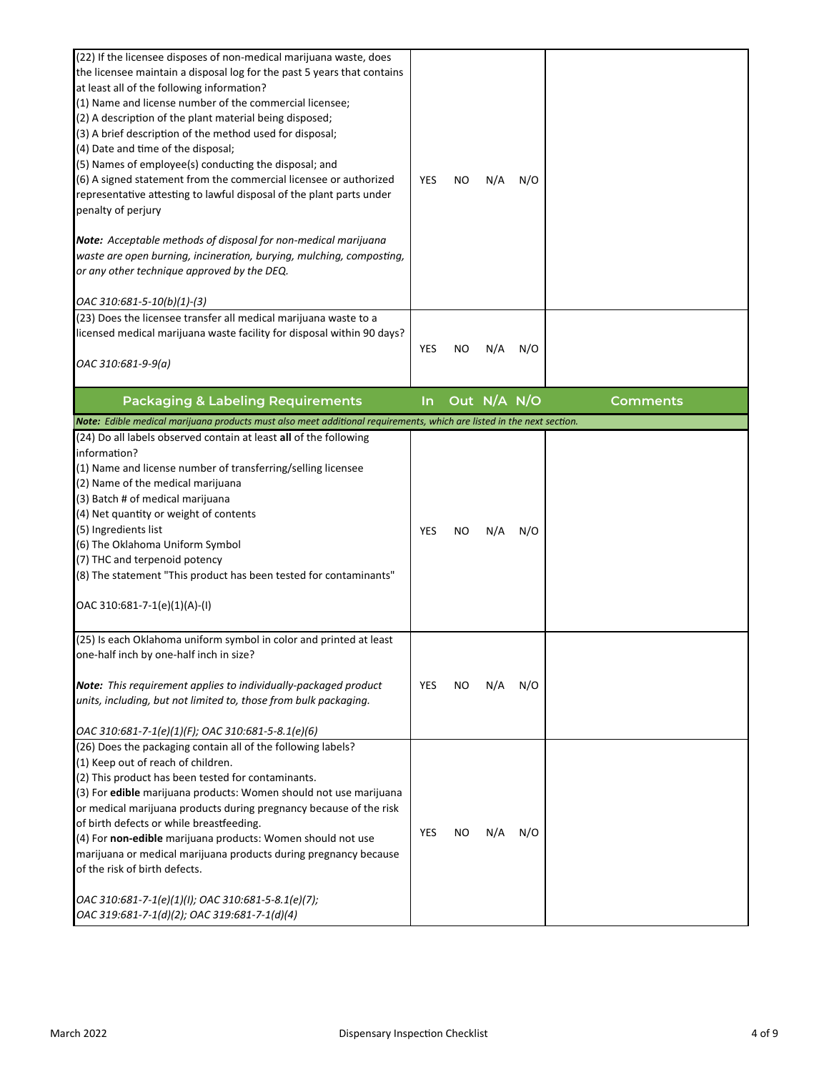| (22) If the licensee disposes of non-medical marijuana waste, does<br>the licensee maintain a disposal log for the past 5 years that contains<br>at least all of the following information?<br>(1) Name and license number of the commercial licensee;<br>(2) A description of the plant material being disposed;<br>(3) A brief description of the method used for disposal;<br>(4) Date and time of the disposal;<br>(5) Names of employee(s) conducting the disposal; and<br>(6) A signed statement from the commercial licensee or authorized<br>representative attesting to lawful disposal of the plant parts under<br>penalty of perjury<br><b>Note:</b> Acceptable methods of disposal for non-medical marijuana<br>waste are open burning, incineration, burying, mulching, composting,<br>or any other technique approved by the DEQ.<br>OAC 310:681-5-10(b)(1)-(3) | YES   | ΝO | N/A         | N/O |                 |
|-------------------------------------------------------------------------------------------------------------------------------------------------------------------------------------------------------------------------------------------------------------------------------------------------------------------------------------------------------------------------------------------------------------------------------------------------------------------------------------------------------------------------------------------------------------------------------------------------------------------------------------------------------------------------------------------------------------------------------------------------------------------------------------------------------------------------------------------------------------------------------|-------|----|-------------|-----|-----------------|
| (23) Does the licensee transfer all medical marijuana waste to a<br>licensed medical marijuana waste facility for disposal within 90 days?<br>OAC 310:681-9-9(a)                                                                                                                                                                                                                                                                                                                                                                                                                                                                                                                                                                                                                                                                                                              | YES   | ΝO | N/A         | N/O |                 |
| <b>Packaging &amp; Labeling Requirements</b>                                                                                                                                                                                                                                                                                                                                                                                                                                                                                                                                                                                                                                                                                                                                                                                                                                  | $\ln$ |    | Out N/A N/O |     | <b>Comments</b> |
| Note: Edible medical marijuana products must also meet additional requirements, which are listed in the next section.                                                                                                                                                                                                                                                                                                                                                                                                                                                                                                                                                                                                                                                                                                                                                         |       |    |             |     |                 |
| (24) Do all labels observed contain at least all of the following                                                                                                                                                                                                                                                                                                                                                                                                                                                                                                                                                                                                                                                                                                                                                                                                             |       |    |             |     |                 |
| information?<br>(1) Name and license number of transferring/selling licensee<br>(2) Name of the medical marijuana<br>(3) Batch # of medical marijuana<br>(4) Net quantity or weight of contents<br>(5) Ingredients list<br>(6) The Oklahoma Uniform Symbol<br>(7) THC and terpenoid potency<br>(8) The statement "This product has been tested for contaminants"<br>OAC 310:681-7-1(e)(1)(A)-(I)                                                                                                                                                                                                                                                                                                                                                                                                                                                                              | YES   | NO | N/A         | N/O |                 |
| (25) Is each Oklahoma uniform symbol in color and printed at least<br>one-half inch by one-half inch in size?<br>Note: This requirement applies to individually-packaged product<br>units, including, but not limited to, those from bulk packaging.                                                                                                                                                                                                                                                                                                                                                                                                                                                                                                                                                                                                                          | YES   | NO | N/A         | N/O |                 |
| OAC 310:681-7-1(e)(1)(F); OAC 310:681-5-8.1(e)(6)<br>(26) Does the packaging contain all of the following labels?<br>(1) Keep out of reach of children.<br>(2) This product has been tested for contaminants.<br>(3) For edible marijuana products: Women should not use marijuana<br>or medical marijuana products during pregnancy because of the risk<br>of birth defects or while breastfeeding.<br>(4) For non-edible marijuana products: Women should not use<br>marijuana or medical marijuana products during pregnancy because<br>of the risk of birth defects.<br>OAC 310:681-7-1(e)(1)(I); OAC 310:681-5-8.1(e)(7);<br>OAC 319:681-7-1(d)(2); OAC 319:681-7-1(d)(4)                                                                                                                                                                                                | YES   | NO | N/A         | N/O |                 |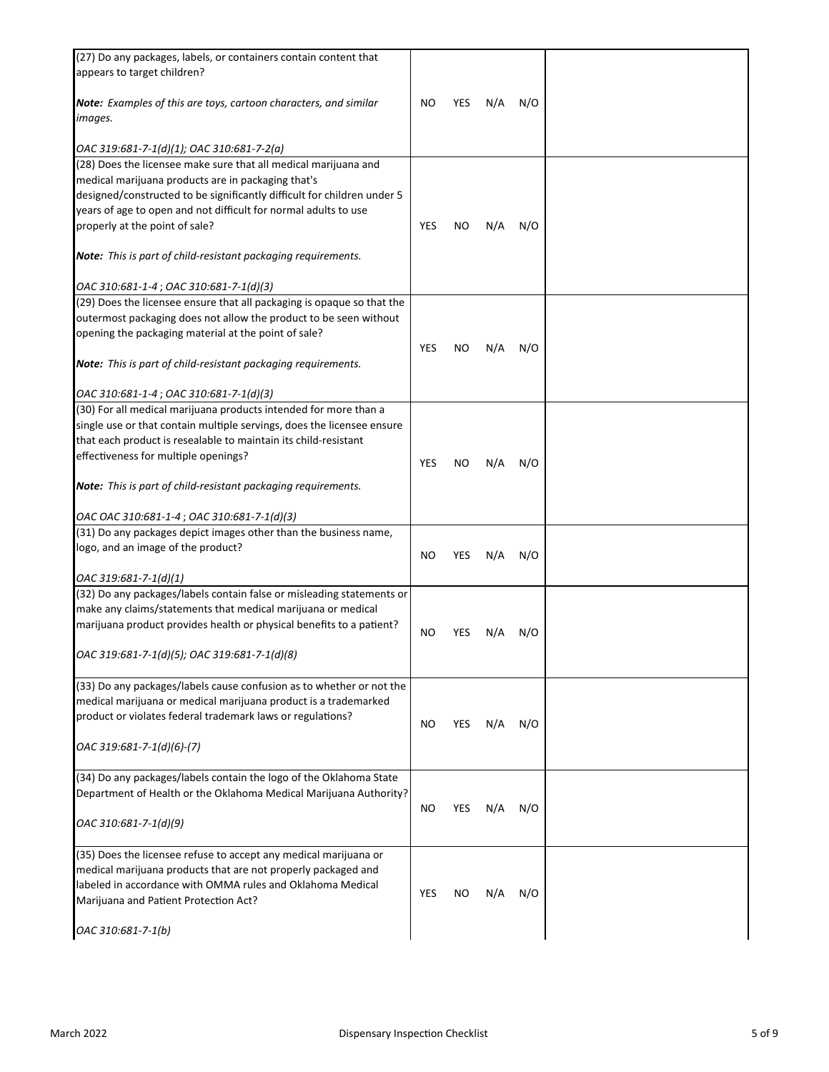| (27) Do any packages, labels, or containers contain content that                                                                           |     |     |     |     |  |
|--------------------------------------------------------------------------------------------------------------------------------------------|-----|-----|-----|-----|--|
| appears to target children?                                                                                                                |     |     |     |     |  |
| Note: Examples of this are toys, cartoon characters, and similar<br>images.                                                                | NO  | YES | N/A | N/O |  |
|                                                                                                                                            |     |     |     |     |  |
| OAC 319:681-7-1(d)(1); OAC 310:681-7-2(a)                                                                                                  |     |     |     |     |  |
| (28) Does the licensee make sure that all medical marijuana and                                                                            |     |     |     |     |  |
| medical marijuana products are in packaging that's                                                                                         |     |     |     |     |  |
| designed/constructed to be significantly difficult for children under 5<br>years of age to open and not difficult for normal adults to use |     |     |     |     |  |
| properly at the point of sale?                                                                                                             | YES | NO  | N/A | N/O |  |
|                                                                                                                                            |     |     |     |     |  |
| <b>Note:</b> This is part of child-resistant packaging requirements.                                                                       |     |     |     |     |  |
| OAC 310:681-1-4; OAC 310:681-7-1(d)(3)                                                                                                     |     |     |     |     |  |
| (29) Does the licensee ensure that all packaging is opaque so that the                                                                     |     |     |     |     |  |
| outermost packaging does not allow the product to be seen without                                                                          |     |     |     |     |  |
| opening the packaging material at the point of sale?                                                                                       |     |     |     |     |  |
| <b>Note:</b> This is part of child-resistant packaging requirements.                                                                       | YES | NO  | N/A | N/O |  |
| OAC 310:681-1-4; OAC 310:681-7-1(d)(3)                                                                                                     |     |     |     |     |  |
| (30) For all medical marijuana products intended for more than a                                                                           |     |     |     |     |  |
| single use or that contain multiple servings, does the licensee ensure                                                                     |     |     |     |     |  |
| that each product is resealable to maintain its child-resistant                                                                            |     |     |     |     |  |
| effectiveness for multiple openings?                                                                                                       |     |     |     |     |  |
|                                                                                                                                            | YES | NO  | N/A | N/O |  |
| <b>Note:</b> This is part of child-resistant packaging requirements.                                                                       |     |     |     |     |  |
|                                                                                                                                            |     |     |     |     |  |
| OAC OAC 310:681-1-4; OAC 310:681-7-1(d)(3)                                                                                                 |     |     |     |     |  |
| (31) Do any packages depict images other than the business name,<br>logo, and an image of the product?                                     |     |     |     |     |  |
|                                                                                                                                            | NO  | YES | N/A | N/O |  |
| OAC 319:681-7-1(d)(1)                                                                                                                      |     |     |     |     |  |
| (32) Do any packages/labels contain false or misleading statements or                                                                      |     |     |     |     |  |
| make any claims/statements that medical marijuana or medical                                                                               |     |     |     |     |  |
| marijuana product provides health or physical benefits to a patient?                                                                       | ΝO  | YES | N/A | N/O |  |
|                                                                                                                                            |     |     |     |     |  |
| OAC 319:681-7-1(d)(5); OAC 319:681-7-1(d)(8)                                                                                               |     |     |     |     |  |
| (33) Do any packages/labels cause confusion as to whether or not the                                                                       |     |     |     |     |  |
| medical marijuana or medical marijuana product is a trademarked                                                                            |     |     |     |     |  |
| product or violates federal trademark laws or regulations?                                                                                 |     |     |     |     |  |
|                                                                                                                                            | NO  | YES | N/A | N/O |  |
| OAC 319:681-7-1(d)(6)-(7)                                                                                                                  |     |     |     |     |  |
| (34) Do any packages/labels contain the logo of the Oklahoma State                                                                         |     |     |     |     |  |
| Department of Health or the Oklahoma Medical Marijuana Authority?                                                                          |     |     |     |     |  |
|                                                                                                                                            | NO  | YES | N/A | N/O |  |
| OAC 310:681-7-1(d)(9)                                                                                                                      |     |     |     |     |  |
| (35) Does the licensee refuse to accept any medical marijuana or                                                                           |     |     |     |     |  |
| medical marijuana products that are not properly packaged and                                                                              |     |     |     |     |  |
| labeled in accordance with OMMA rules and Oklahoma Medical                                                                                 | YES |     |     | N/O |  |
| Marijuana and Patient Protection Act?                                                                                                      |     | NO. | N/A |     |  |
| OAC 310:681-7-1(b)                                                                                                                         |     |     |     |     |  |
|                                                                                                                                            |     |     |     |     |  |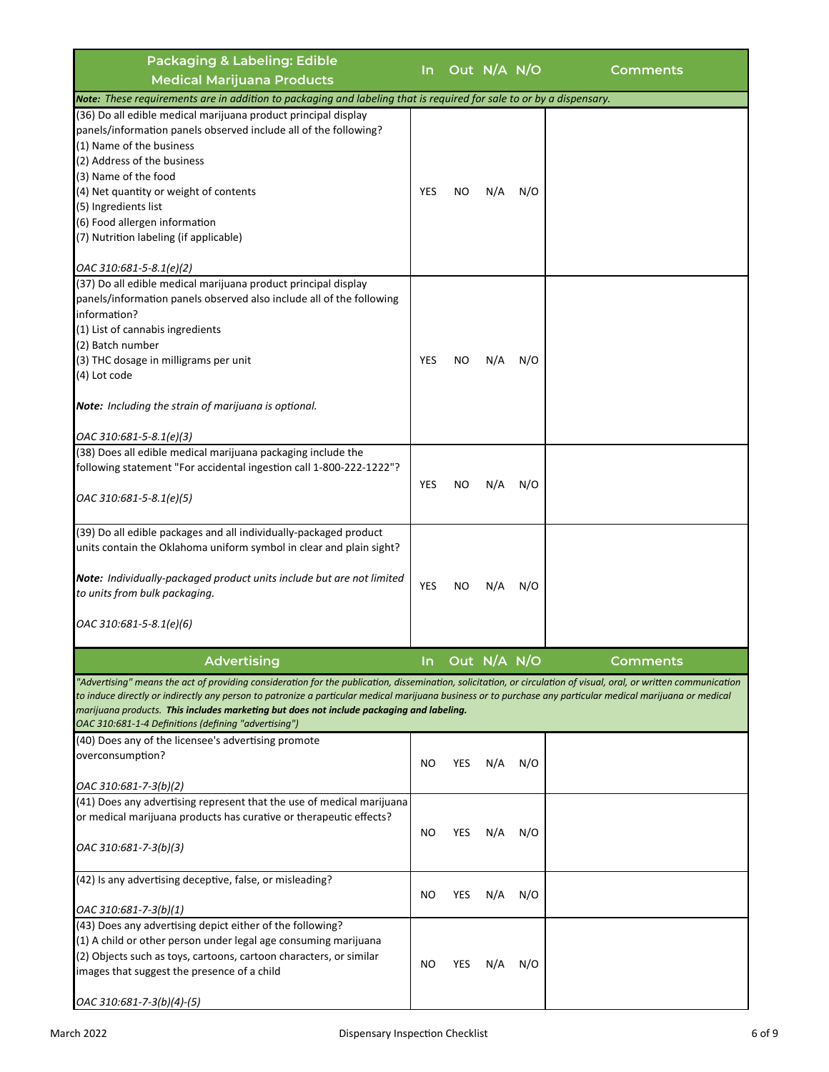| <b>Packaging &amp; Labeling: Edible</b>                                                                                                                                                                                                                                                                                                                                                                                                                                                     | In.        |     | Out N/A N/O |     | Comments |
|---------------------------------------------------------------------------------------------------------------------------------------------------------------------------------------------------------------------------------------------------------------------------------------------------------------------------------------------------------------------------------------------------------------------------------------------------------------------------------------------|------------|-----|-------------|-----|----------|
| <b>Medical Marijuana Products</b>                                                                                                                                                                                                                                                                                                                                                                                                                                                           |            |     |             |     |          |
| Note: These requirements are in addition to packaging and labeling that is required for sale to or by a dispensary.                                                                                                                                                                                                                                                                                                                                                                         |            |     |             |     |          |
| (36) Do all edible medical marijuana product principal display<br>panels/information panels observed include all of the following?<br>(1) Name of the business<br>(2) Address of the business<br>(3) Name of the food<br>(4) Net quantity or weight of contents<br>(5) Ingredients list<br>(6) Food allergen information<br>(7) Nutrition labeling (if applicable)<br>OAC 310:681-5-8.1(e)(2)                                                                                               | YES        | NO  | N/A         | N/O |          |
| (37) Do all edible medical marijuana product principal display<br>panels/information panels observed also include all of the following<br>information?<br>(1) List of cannabis ingredients<br>(2) Batch number<br>(3) THC dosage in milligrams per unit<br>(4) Lot code<br>Note: Including the strain of marijuana is optional.<br>OAC 310:681-5-8.1(e)(3)                                                                                                                                  | <b>YES</b> | NO  | N/A         | N/O |          |
| (38) Does all edible medical marijuana packaging include the<br>following statement "For accidental ingestion call 1-800-222-1222"?<br>OAC 310:681-5-8.1(e)(5)                                                                                                                                                                                                                                                                                                                              | <b>YES</b> | NO  | N/A         | N/O |          |
| (39) Do all edible packages and all individually-packaged product<br>units contain the Oklahoma uniform symbol in clear and plain sight?<br>Note: Individually-packaged product units include but are not limited<br>to units from bulk packaging.<br>OAC 310:681-5-8.1(e)(6)                                                                                                                                                                                                               | YES        | NO  | N/A         | N/O |          |
| <b>Advertising</b>                                                                                                                                                                                                                                                                                                                                                                                                                                                                          | In         |     | Out N/A N/O |     | Comments |
| "Advertising" means the act of providing consideration for the publication, dissemination, solicitation, or circulation of visual, oral, or written communication<br>to induce directly or indirectly any person to patronize a particular medical marijuana business or to purchase any particular medical marijuana or medical<br>marijuana products. <b>This includes marketing but does not include packaging and labeling.</b><br>OAC 310:681-1-4 Definitions (defining "advertising") |            |     |             |     |          |
| (40) Does any of the licensee's advertising promote<br>overconsumption?                                                                                                                                                                                                                                                                                                                                                                                                                     | NO         | YES | N/A         | N/O |          |
| $OAC 310:681 - 7 - 3(b)(2)$<br>(41) Does any advertising represent that the use of medical marijuana<br>or medical marijuana products has curative or therapeutic effects?<br>OAC 310:681-7-3(b)(3)                                                                                                                                                                                                                                                                                         | NO.        | YES | N/A         | N/O |          |
| (42) Is any advertising deceptive, false, or misleading?<br>OAC 310:681-7-3(b)(1)                                                                                                                                                                                                                                                                                                                                                                                                           | NO         | YES | N/A         | N/O |          |
| (43) Does any advertising depict either of the following?<br>(1) A child or other person under legal age consuming marijuana<br>(2) Objects such as toys, cartoons, cartoon characters, or similar<br>images that suggest the presence of a child<br>OAC 310:681-7-3(b)(4)-(5)                                                                                                                                                                                                              | NO.        | YES | N/A         | N/O |          |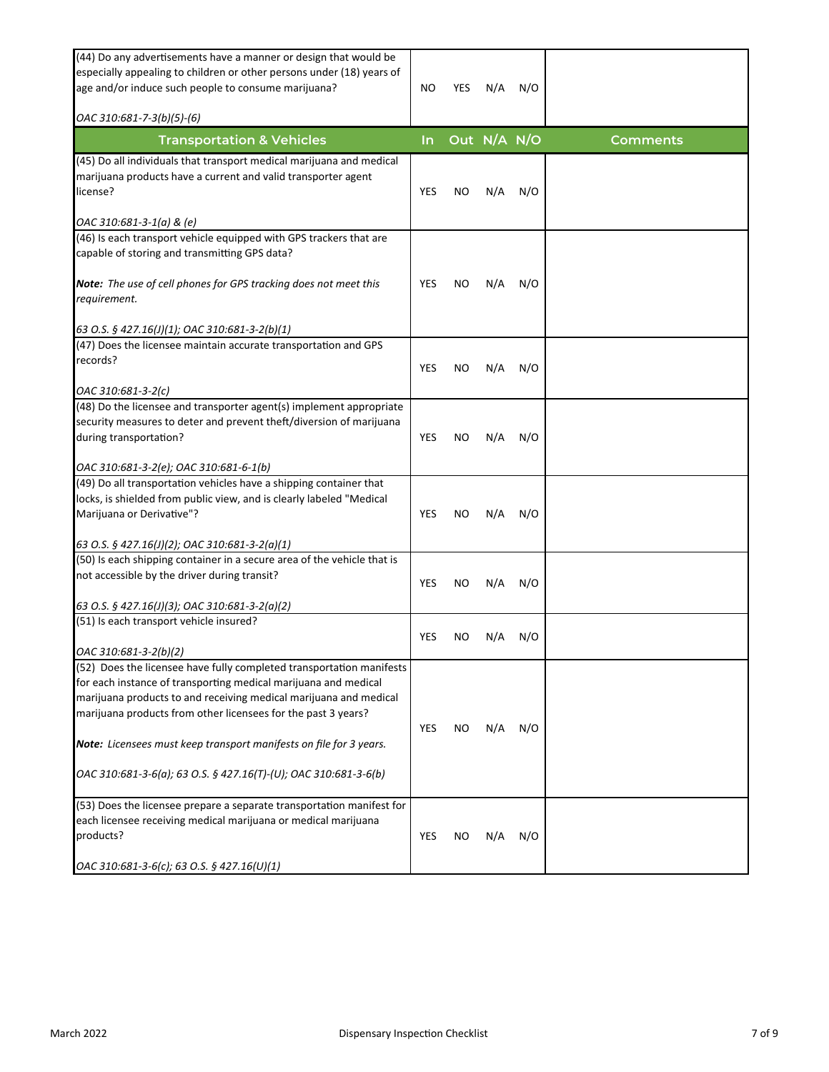| (44) Do any advertisements have a manner or design that would be<br>especially appealing to children or other persons under (18) years of<br>age and/or induce such people to consume marijuana?<br>OAC 310:681-7-3(b)(5)-(6)                                                 | NO.        | YES | N/A         | N/O |                 |
|-------------------------------------------------------------------------------------------------------------------------------------------------------------------------------------------------------------------------------------------------------------------------------|------------|-----|-------------|-----|-----------------|
| <b>Transportation &amp; Vehicles</b>                                                                                                                                                                                                                                          | In.        |     | Out N/A N/O |     | <b>Comments</b> |
| (45) Do all individuals that transport medical marijuana and medical<br>marijuana products have a current and valid transporter agent<br>license?<br>OAC 310:681-3-1(a) & (e)                                                                                                 | <b>YES</b> | ΝO  | N/A         | N/O |                 |
| (46) Is each transport vehicle equipped with GPS trackers that are<br>capable of storing and transmitting GPS data?                                                                                                                                                           |            |     |             |     |                 |
| <b>Note:</b> The use of cell phones for GPS tracking does not meet this<br>requirement.                                                                                                                                                                                       | YES        | ΝO  | N/A         | N/O |                 |
| 63 O.S. § 427.16(J)(1); OAC 310:681-3-2(b)(1)                                                                                                                                                                                                                                 |            |     |             |     |                 |
| (47) Does the licensee maintain accurate transportation and GPS<br>records?                                                                                                                                                                                                   | <b>YES</b> | ΝO  | N/A         | N/O |                 |
| OAC 310:681-3-2(c)                                                                                                                                                                                                                                                            |            |     |             |     |                 |
| (48) Do the licensee and transporter agent(s) implement appropriate<br>security measures to deter and prevent theft/diversion of marijuana<br>during transportation?                                                                                                          | YES        | NO  | N/A         | N/O |                 |
| OAC 310:681-3-2(e); OAC 310:681-6-1(b)                                                                                                                                                                                                                                        |            |     |             |     |                 |
| (49) Do all transportation vehicles have a shipping container that<br>locks, is shielded from public view, and is clearly labeled "Medical<br>Marijuana or Derivative"?                                                                                                       | YES        | ΝO  | N/A         | N/O |                 |
| 63 O.S. § 427.16(J)(2); OAC 310:681-3-2(a)(1)                                                                                                                                                                                                                                 |            |     |             |     |                 |
| (50) Is each shipping container in a secure area of the vehicle that is<br>not accessible by the driver during transit?                                                                                                                                                       | YES        | ΝO  | N/A         | N/O |                 |
| 63 O.S. § 427.16(J)(3); OAC 310:681-3-2(a)(2)                                                                                                                                                                                                                                 |            |     |             |     |                 |
| (51) Is each transport vehicle insured?<br>OAC 310:681-3-2(b)(2)                                                                                                                                                                                                              | YES        | NO  | N/A         | N/O |                 |
| (52) Does the licensee have fully completed transportation manifests<br>for each instance of transporting medical marijuana and medical<br>marijuana products to and receiving medical marijuana and medical<br>marijuana products from other licensees for the past 3 years? | YES        | ΝO  | N/A         | N/O |                 |
| Note: Licensees must keep transport manifests on file for 3 years.                                                                                                                                                                                                            |            |     |             |     |                 |
| OAC 310:681-3-6(a); 63 O.S. § 427.16(T)-(U); OAC 310:681-3-6(b)                                                                                                                                                                                                               |            |     |             |     |                 |
| (53) Does the licensee prepare a separate transportation manifest for<br>each licensee receiving medical marijuana or medical marijuana<br>products?                                                                                                                          | YES        | ΝO  | N/A         | N/O |                 |
| OAC 310:681-3-6(c); 63 O.S. § 427.16(U)(1)                                                                                                                                                                                                                                    |            |     |             |     |                 |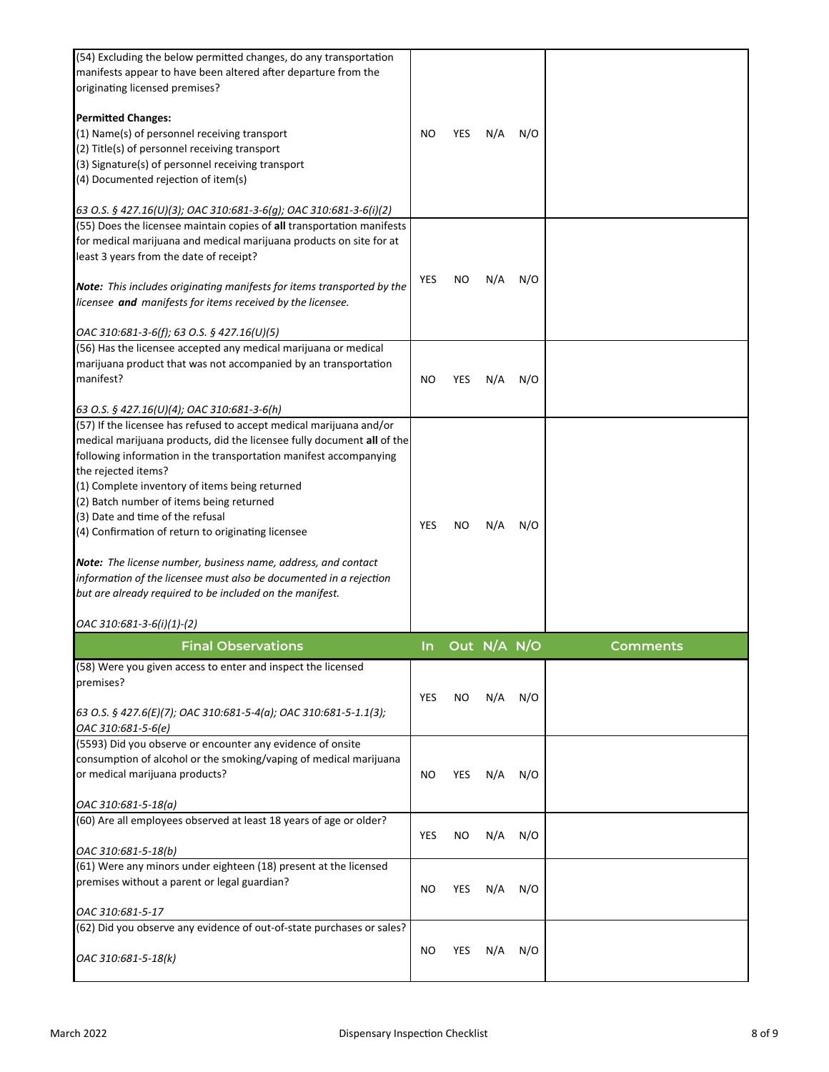| (54) Excluding the below permitted changes, do any transportation<br>manifests appear to have been altered after departure from the<br>originating licensed premises?                                                                                            |     |     |             |     |          |
|------------------------------------------------------------------------------------------------------------------------------------------------------------------------------------------------------------------------------------------------------------------|-----|-----|-------------|-----|----------|
| <b>Permitted Changes:</b>                                                                                                                                                                                                                                        |     |     |             |     |          |
| (1) Name(s) of personnel receiving transport                                                                                                                                                                                                                     | NO  | YES | N/A         | N/O |          |
| (2) Title(s) of personnel receiving transport                                                                                                                                                                                                                    |     |     |             |     |          |
| (3) Signature(s) of personnel receiving transport<br>(4) Documented rejection of item(s)                                                                                                                                                                         |     |     |             |     |          |
|                                                                                                                                                                                                                                                                  |     |     |             |     |          |
| 63 O.S. § 427.16(U)(3); OAC 310:681-3-6(g); OAC 310:681-3-6(i)(2)                                                                                                                                                                                                |     |     |             |     |          |
| (55) Does the licensee maintain copies of all transportation manifests                                                                                                                                                                                           |     |     |             |     |          |
| for medical marijuana and medical marijuana products on site for at                                                                                                                                                                                              |     |     |             |     |          |
| least 3 years from the date of receipt?                                                                                                                                                                                                                          |     |     |             |     |          |
| Note: This includes originating manifests for items transported by the<br>licensee and manifests for items received by the licensee.                                                                                                                             | YES | ΝO  | N/A         | N/O |          |
| OAC 310:681-3-6(f); 63 O.S. § 427.16(U)(5)                                                                                                                                                                                                                       |     |     |             |     |          |
| (56) Has the licensee accepted any medical marijuana or medical                                                                                                                                                                                                  |     |     |             |     |          |
| marijuana product that was not accompanied by an transportation                                                                                                                                                                                                  |     |     |             |     |          |
| manifest?                                                                                                                                                                                                                                                        | NO. | YES | N/A         | N/O |          |
|                                                                                                                                                                                                                                                                  |     |     |             |     |          |
| 63 O.S. § 427.16(U)(4); OAC 310:681-3-6(h)<br>(57) If the licensee has refused to accept medical marijuana and/or<br>medical marijuana products, did the licensee fully document all of the<br>following information in the transportation manifest accompanying |     |     |             |     |          |
| the rejected items?                                                                                                                                                                                                                                              |     |     |             |     |          |
| (1) Complete inventory of items being returned                                                                                                                                                                                                                   |     |     |             |     |          |
| (2) Batch number of items being returned                                                                                                                                                                                                                         |     |     |             |     |          |
| (3) Date and time of the refusal                                                                                                                                                                                                                                 |     |     |             |     |          |
| (4) Confirmation of return to originating licensee                                                                                                                                                                                                               | YES | ΝO  | N/A         | N/O |          |
| Note: The license number, business name, address, and contact<br>information of the licensee must also be documented in a rejection<br>but are already required to be included on the manifest.<br>OAC 310:681-3-6(i)(1)-(2)                                     |     |     |             |     |          |
|                                                                                                                                                                                                                                                                  |     |     |             |     |          |
| <b>Final Observations</b>                                                                                                                                                                                                                                        | In. |     | Out N/A N/O |     | Comments |
| (58) Were you given access to enter and inspect the licensed<br>premises?                                                                                                                                                                                        | YES | NO. | N/A         | N/O |          |
| 63 O.S. § 427.6(E)(7); OAC 310:681-5-4(a); OAC 310:681-5-1.1(3);<br>OAC 310:681-5-6(e)                                                                                                                                                                           |     |     |             |     |          |
| (5593) Did you observe or encounter any evidence of onsite                                                                                                                                                                                                       |     |     |             |     |          |
| consumption of alcohol or the smoking/vaping of medical marijuana                                                                                                                                                                                                |     |     |             |     |          |
| or medical marijuana products?                                                                                                                                                                                                                                   | NO  | YES | N/A         | N/O |          |
| OAC 310:681-5-18(a)                                                                                                                                                                                                                                              |     |     |             |     |          |
| (60) Are all employees observed at least 18 years of age or older?                                                                                                                                                                                               |     |     |             |     |          |
|                                                                                                                                                                                                                                                                  | YES | ΝO  | N/A         | N/O |          |
| OAC 310:681-5-18(b)<br>(61) Were any minors under eighteen (18) present at the licensed                                                                                                                                                                          |     |     |             |     |          |
| premises without a parent or legal guardian?                                                                                                                                                                                                                     | NO  | YES | N/A         | N/O |          |
| OAC 310:681-5-17                                                                                                                                                                                                                                                 |     |     |             |     |          |
| (62) Did you observe any evidence of out-of-state purchases or sales?                                                                                                                                                                                            |     |     |             |     |          |
| OAC 310:681-5-18(k)                                                                                                                                                                                                                                              | NO  | YES | N/A         | N/O |          |